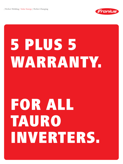/ Perfect Welding / Solar Energy / Perfect Charging



## 5 PLUS 5 WARRANTY.

## FOR ALL TAURO INVERTERS.